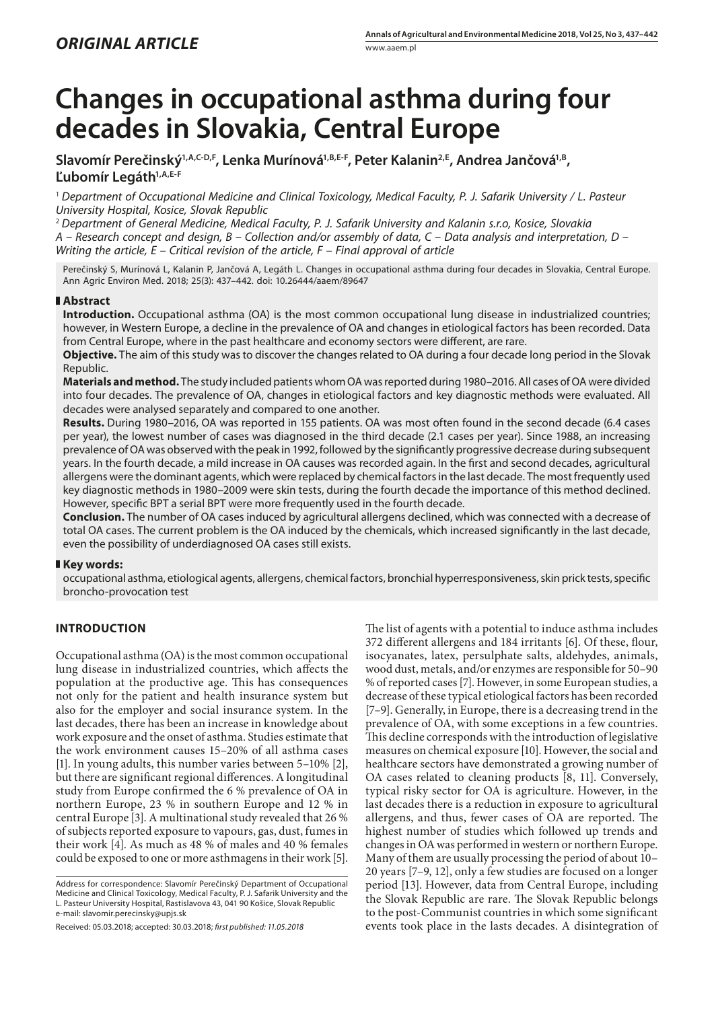# **Changes in occupational asthma during four decades in Slovakia, Central Europe**

Slavomír Perečinský<sup>1,A,C-D,F</sup>, Lenka Murínová<sup>1,B,E-F</sup>, Peter Kalanin<sup>2,E</sup>, Andrea Jančová<sup>1,B</sup>, **Ľubomír Legáth1,A,E-F**

<sup>1</sup> *Department of Occupational Medicine and Clinical Toxicology, Medical Faculty, P. J. Safarik University / L. Pasteur University Hospital, Kosice, Slovak Republic*

<sup>2</sup> *Department of General Medicine, Medical Faculty, P. J. Safarik University and Kalanin s.r.o, Kosice, Slovakia A – Research concept and design, B – Collection and/or assembly of data, C – Data analysis and interpretation, D – Writing the article, E – Critical revision of the article, F – Final approval of article*

Perečinský S, Murínová L, Kalanin P, Jančová A, Legáth L. Changes in occupational asthma during four decades in Slovakia, Central Europe. Ann Agric Environ Med. 2018; 25(3): 437–442. doi: 10.26444/aaem/89647

## **Abstract**

**Introduction.** Occupational asthma (OA) is the most common occupational lung disease in industrialized countries; however, in Western Europe, a decline in the prevalence of OA and changes in etiological factors has been recorded. Data from Central Europe, where in the past healthcare and economy sectors were different, are rare.

**Objective.** The aim of this study was to discover the changes related to OA during a four decade long period in the Slovak Republic.

**Materials and method.** The study included patients whom OA was reported during 1980–2016. All cases of OA were divided into four decades. The prevalence of OA, changes in etiological factors and key diagnostic methods were evaluated. All decades were analysed separately and compared to one another.

**Results.** During 1980–2016, OA was reported in 155 patients. OA was most often found in the second decade (6.4 cases per year), the lowest number of cases was diagnosed in the third decade (2.1 cases per year). Since 1988, an increasing prevalence of OA was observed with the peak in 1992, followed by the significantly progressive decrease during subsequent years. In the fourth decade, a mild increase in OA causes was recorded again. In the first and second decades, agricultural allergens were the dominant agents, which were replaced by chemical factors in the last decade. The most frequently used key diagnostic methods in 1980–2009 were skin tests, during the fourth decade the importance of this method declined. However, specific BPT a serial BPT were more frequently used in the fourth decade.

**Conclusion.** The number of OA cases induced by agricultural allergens declined, which was connected with a decrease of total OA cases. The current problem is the OA induced by the chemicals, which increased significantly in the last decade, even the possibility of underdiagnosed OA cases still exists.

#### **Key words:**

occupational asthma, etiological agents, allergens, chemical factors, bronchial hyperresponsiveness, skin prick tests, specific broncho-provocation test

# **INTRODUCTION**

Occupational asthma (OA) is the most common occupational lung disease in industrialized countries, which affects the population at the productive age. This has consequences not only for the patient and health insurance system but also for the employer and social insurance system. In the last decades, there has been an increase in knowledge about work exposure and the onset of asthma. Studies estimate that the work environment causes 15–20% of all asthma cases [1]. In young adults, this number varies between 5–10% [2], but there are significant regional differences. A longitudinal study from Europe confirmed the 6 % prevalence of OA in northern Europe, 23 % in southern Europe and 12 % in central Europe [3]. A multinational study revealed that 26 % of subjects reported exposure to vapours, gas, dust, fumes in their work [4]. As much as 48 % of males and 40 % females could be exposed to one or more asthmagens in their work [5].

Address for correspondence: Slavomír Perečinský Department of Occupational Medicine and Clinical Toxicology, Medical Faculty, P. J. Safarik University and the L. Pasteur University Hospital, Rastislavova 43, 041 90 Košice, Slovak Republic e-mail: slavomir.perecinsky@upjs.sk

Received: 05.03.2018; accepted: 30.03.2018; *first published: 11.05.2018*

The list of agents with a potential to induce asthma includes 372 different allergens and 184 irritants [6]. Of these, flour, isocyanates, latex, persulphate salts, aldehydes, animals, wood dust, metals, and/or enzymes are responsible for 50–90 % of reported cases [7]. However, in some European studies, a decrease of these typical etiological factors has been recorded [7–9]. Generally, in Europe, there is a decreasing trend in the prevalence of OA, with some exceptions in a few countries. This decline corresponds with the introduction of legislative measures on chemical exposure [10]. However, the social and healthcare sectors have demonstrated a growing number of OA cases related to cleaning products [8, 11]. Conversely, typical risky sector for OA is agriculture. However, in the last decades there is a reduction in exposure to agricultural allergens, and thus, fewer cases of OA are reported. The highest number of studies which followed up trends and changes in OA was performed in western or northern Europe. Many of them are usually processing the period of about 10– 20 years [7–9, 12], only a few studies are focused on a longer period [13]. However, data from Central Europe, including the Slovak Republic are rare. The Slovak Republic belongs to the post-Communist countries in which some significant events took place in the lasts decades. A disintegration of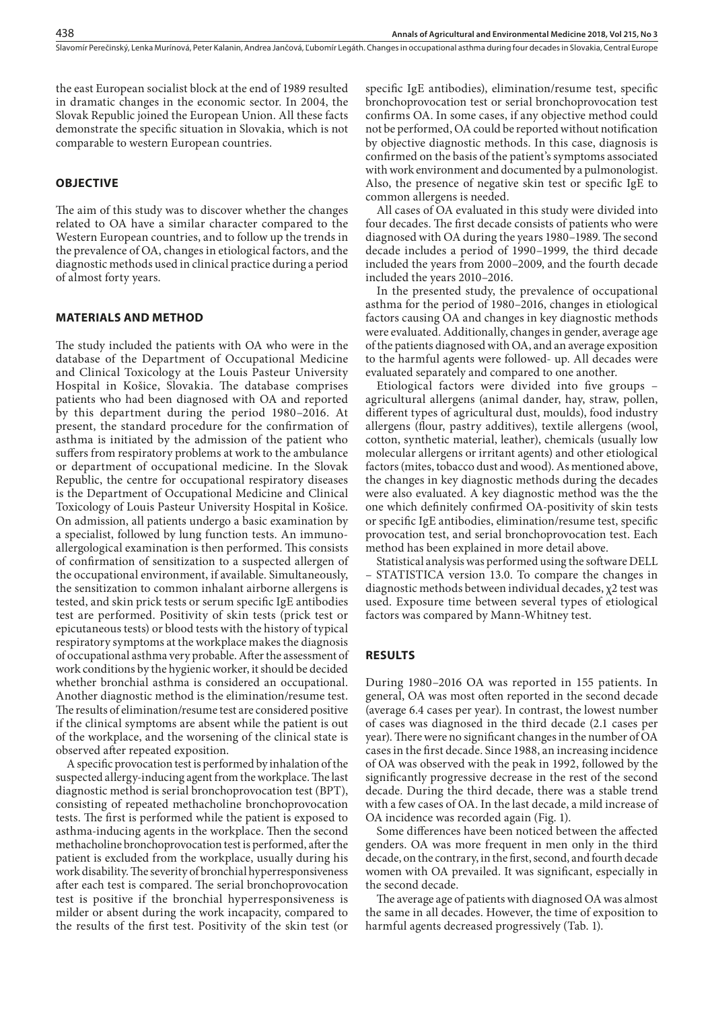the east European socialist block at the end of 1989 resulted in dramatic changes in the economic sector. In 2004, the Slovak Republic joined the European Union. All these facts demonstrate the specific situation in Slovakia, which is not comparable to western European countries.

### **OBJECTIVE**

The aim of this study was to discover whether the changes related to OA have a similar character compared to the Western European countries, and to follow up the trends in the prevalence of OA, changes in etiological factors, and the diagnostic methods used in clinical practice during a period of almost forty years.

#### **MATERIALS AND METHOD**

The study included the patients with OA who were in the database of the Department of Occupational Medicine and Clinical Toxicology at the Louis Pasteur University Hospital in Košice, Slovakia. The database comprises patients who had been diagnosed with OA and reported by this department during the period 1980–2016. At present, the standard procedure for the confirmation of asthma is initiated by the admission of the patient who suffers from respiratory problems at work to the ambulance or department of occupational medicine. In the Slovak Republic, the centre for occupational respiratory diseases is the Department of Occupational Medicine and Clinical Toxicology of Louis Pasteur University Hospital in Košice. On admission, all patients undergo a basic examination by a specialist, followed by lung function tests. An immunoallergological examination is then performed. This consists of confirmation of sensitization to a suspected allergen of the occupational environment, if available. Simultaneously, the sensitization to common inhalant airborne allergens is tested, and skin prick tests or serum specific IgE antibodies test are performed. Positivity of skin tests (prick test or epicutaneous tests) or blood tests with the history of typical respiratory symptoms at the workplace makes the diagnosis of occupational asthma very probable. After the assessment of work conditions by the hygienic worker, it should be decided whether bronchial asthma is considered an occupational. Another diagnostic method is the elimination/resume test. The results of elimination/resume test are considered positive if the clinical symptoms are absent while the patient is out of the workplace, and the worsening of the clinical state is observed after repeated exposition.

A specific provocation test is performed by inhalation of the suspected allergy-inducing agent from the workplace. The last diagnostic method is serial bronchoprovocation test (BPT), consisting of repeated methacholine bronchoprovocation tests. The first is performed while the patient is exposed to asthma-inducing agents in the workplace. Then the second methacholine bronchoprovocation test is performed, after the patient is excluded from the workplace, usually during his work disability. The severity of bronchial hyperresponsiveness after each test is compared. The serial bronchoprovocation test is positive if the bronchial hyperresponsiveness is milder or absent during the work incapacity, compared to the results of the first test. Positivity of the skin test (or

specific IgE antibodies), elimination/resume test, specific bronchoprovocation test or serial bronchoprovocation test confirms OA. In some cases, if any objective method could not be performed, OA could be reported without notification by objective diagnostic methods. In this case, diagnosis is confirmed on the basis of the patient's symptoms associated with work environment and documented by a pulmonologist. Also, the presence of negative skin test or specific IgE to common allergens is needed.

All cases of OA evaluated in this study were divided into four decades. The first decade consists of patients who were diagnosed with OA during the years 1980–1989. The second decade includes a period of 1990–1999, the third decade included the years from 2000–2009, and the fourth decade included the years 2010–2016.

In the presented study, the prevalence of occupational asthma for the period of 1980–2016, changes in etiological factors causing OA and changes in key diagnostic methods were evaluated. Additionally, changes in gender, average age of the patients diagnosed with OA, and an average exposition to the harmful agents were followed- up. All decades were evaluated separately and compared to one another.

Etiological factors were divided into five groups – agricultural allergens (animal dander, hay, straw, pollen, different types of agricultural dust, moulds), food industry allergens (flour, pastry additives), textile allergens (wool, cotton, synthetic material, leather), chemicals (usually low molecular allergens or irritant agents) and other etiological factors (mites, tobacco dust and wood). As mentioned above, the changes in key diagnostic methods during the decades were also evaluated. A key diagnostic method was the the one which definitely confirmed OA-positivity of skin tests or specific IgE antibodies, elimination/resume test, specific provocation test, and serial bronchoprovocation test. Each method has been explained in more detail above.

Statistical analysis was performed using the software DELL – STATISTICA version 13.0. To compare the changes in diagnostic methods between individual decades, χ2 test was used. Exposure time between several types of etiological factors was compared by Mann-Whitney test.

#### **RESULTS**

During 1980–2016 OA was reported in 155 patients. In general, OA was most often reported in the second decade (average 6.4 cases per year). In contrast, the lowest number of cases was diagnosed in the third decade (2.1 cases per year). There were no significant changes in the number of OA cases in the first decade. Since 1988, an increasing incidence of OA was observed with the peak in 1992, followed by the significantly progressive decrease in the rest of the second decade. During the third decade, there was a stable trend with a few cases of OA. In the last decade, a mild increase of OA incidence was recorded again (Fig. 1).

Some differences have been noticed between the affected genders. OA was more frequent in men only in the third decade, on the contrary, in the first, second, and fourth decade women with OA prevailed. It was significant, especially in the second decade.

The average age of patients with diagnosed OA was almost the same in all decades. However, the time of exposition to harmful agents decreased progressively (Tab. 1).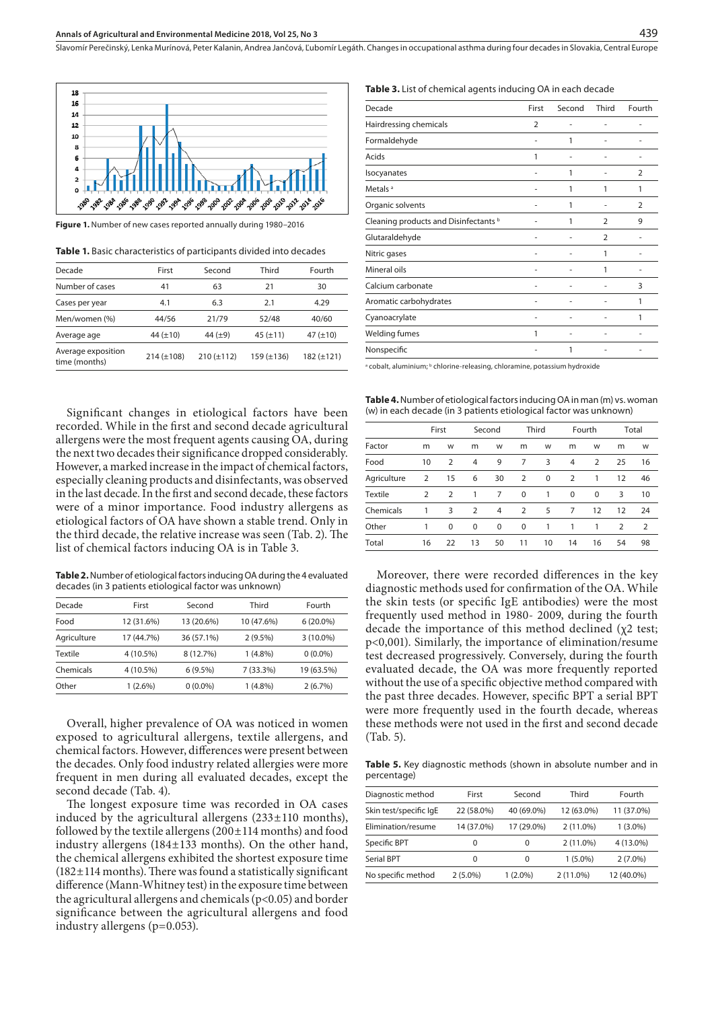

**Figure 1.** Number of new cases reported annually during 1980–2016

**Table 1.** Basic characteristics of participants divided into decades

| Decade                              | First           | Second          | Third           | Fourth        |
|-------------------------------------|-----------------|-----------------|-----------------|---------------|
| Number of cases                     | 41              | 63              | 21              | 30            |
| Cases per year                      | 4.1             | 6.3             | 2.1             | 4.29          |
| Men/women (%)                       | 44/56           | 21/79           | 52/48           | 40/60         |
| Average age                         | 44 $(\pm 10)$   | 44 $(\pm 9)$    | 45 $(\pm 11)$   | 47 $(\pm 10)$ |
| Average exposition<br>time (months) | $214 (\pm 108)$ | $210 (\pm 112)$ | $159 (\pm 136)$ | 182 (±121)    |
|                                     |                 |                 |                 |               |

Significant changes in etiological factors have been recorded. While in the first and second decade agricultural allergens were the most frequent agents causing OA, during the next two decades their significance dropped considerably. However, a marked increase in the impact of chemical factors, especially cleaning products and disinfectants, was observed in the last decade. In the first and second decade, these factors were of a minor importance. Food industry allergens as etiological factors of OA have shown a stable trend. Only in the third decade, the relative increase was seen (Tab. 2). The list of chemical factors inducing OA is in Table 3.

**Table 2.** Number of etiological factors inducing OA during the 4 evaluated decades (in 3 patients etiological factor was unknown)

| Decade      | First      | Second     | Third       | Fourth      |
|-------------|------------|------------|-------------|-------------|
| Food        | 12 (31.6%) | 13 (20.6%) | 10 (47.6%)  | $6(20.0\%)$ |
| Agriculture | 17 (44.7%) | 36 (57.1%) | $2(9.5\%)$  | $3(10.0\%)$ |
| Textile     | 4 (10.5%)  | 8 (12.7%)  | $1(4.8\%)$  | $0(0.0\%)$  |
| Chemicals   | 4 (10.5%)  | 6(9.5%)    | $7(33.3\%)$ | 19 (63.5%)  |
| Other       | $1(2.6\%)$ | $0(0.0\%)$ | $1(4.8\%)$  | 2(6.7%)     |
|             |            |            |             |             |

Overall, higher prevalence of OA was noticed in women exposed to agricultural allergens, textile allergens, and chemical factors. However, differences were present between the decades. Only food industry related allergies were more frequent in men during all evaluated decades, except the second decade (Tab. 4).

The longest exposure time was recorded in OA cases induced by the agricultural allergens  $(233\pm110 \text{ months})$ , followed by the textile allergens (200±114 months) and food industry allergens (184±133 months). On the other hand, the chemical allergens exhibited the shortest exposure time  $(182 \pm 114$  months). There was found a statistically significant difference (Mann-Whitney test) in the exposure time between the agricultural allergens and chemicals ( $p$ <0.05) and border significance between the agricultural allergens and food industry allergens (p=0.053).

#### **Table 3.** List of chemical agents inducing OA in each decade

Slavomír Perečinský, Lenka Murínová, Peter Kalanin, Andrea Jančová, Ľubomír Legáth . Changes in occupational asthma during four decades in Slovakia, Central Europe

| Decade                                | First          | Second | Third          | Fourth         |
|---------------------------------------|----------------|--------|----------------|----------------|
| Hairdressing chemicals                | $\overline{2}$ |        |                |                |
| Formaldehyde                          |                | 1      |                |                |
| Acids                                 | 1              | ۰      |                |                |
| Isocyanates                           |                | 1      |                | $\overline{2}$ |
| Metals <sup>a</sup>                   |                | 1      | 1              | 1              |
| Organic solvents                      |                | 1      |                | $\mathcal{P}$  |
| Cleaning products and Disinfectants b |                | 1      | $\overline{2}$ | 9              |
| Glutaraldehyde                        |                |        | $\overline{2}$ |                |
| Nitric gases                          |                |        | 1              |                |
| Mineral oils                          |                |        | 1              |                |
| Calcium carbonate                     |                |        |                | 3              |
| Aromatic carbohydrates                |                |        |                | 1              |
| Cyanoacrylate                         |                |        |                | 1              |
| Welding fumes                         | 1              |        |                |                |
| Nonspecific                           |                | 1      |                |                |

a cobalt, aluminium; <sup>b</sup> chlorine-releasing, chloramine, potassium hydroxide

**Table 4.** Number of etiological factors inducing OA in man (m) vs. woman (w) in each decade (in 3 patients etiological factor was unknown)

|                |    | First          |                | Second         |                | Third       |             | Fourth         |                | Total |
|----------------|----|----------------|----------------|----------------|----------------|-------------|-------------|----------------|----------------|-------|
| Factor         | m  | W              | m              | W              | m              | W           | m           | W              | m              | W     |
| Food           | 10 | $\overline{2}$ | 4              | 9              | 7              | 3           | 4           | $\overline{2}$ | 25             | 16    |
| Agriculture    | 2  | 15             | 6              | 30             | 2              | $\mathbf 0$ | 2           | 1              | 12             | 46    |
| <b>Textile</b> | 2  | $\overline{2}$ | 1              | 7              | $\mathbf 0$    | 1           | $\mathbf 0$ | 0              | 3              | 10    |
| Chemicals      | 1  | 3              | $\overline{2}$ | $\overline{4}$ | $\overline{2}$ | 5           | 7           | 12             | 12             | 24    |
| Other          | 1  | $\Omega$       | $\mathbf 0$    | $\mathbf 0$    | $\mathbf 0$    | 1           | 1           | 1              | $\overline{2}$ | 2     |
| Total          | 16 | 22             | 13             | 50             | 11             | 10          | 14          | 16             | 54             | 98    |

Moreover, there were recorded differences in the key diagnostic methods used for confirmation of the OA. While the skin tests (or specific IgE antibodies) were the most frequently used method in 1980- 2009, during the fourth decade the importance of this method declined  $(χ2 \text{ test};$ p<0,001). Similarly, the importance of elimination/resume test decreased progressively. Conversely, during the fourth evaluated decade, the OA was more frequently reported without the use of a specific objective method compared with the past three decades. However, specific BPT a serial BPT were more frequently used in the fourth decade, whereas these methods were not used in the first and second decade (Tab. 5).

**Table 5.** Key diagnostic methods (shown in absolute number and in percentage)

| Diagnostic method      | First      | Second     | Third       | Fourth     |
|------------------------|------------|------------|-------------|------------|
| Skin test/specific IgE | 22 (58.0%) | 40 (69.0%) | 12 (63.0%)  | 11 (37.0%) |
| Elimination/resume     | 14 (37.0%) | 17 (29.0%) | $2(11.0\%)$ | $1(3.0\%)$ |
| Specific BPT           | 0          | 0          | $2(11.0\%)$ | 4 (13.0%)  |
| Serial BPT             | 0          | 0          | $1(5.0\%)$  | $2(7.0\%)$ |
| No specific method     | $2(5.0\%)$ | $1(2.0\%)$ | $2(11.0\%)$ | 12 (40.0%) |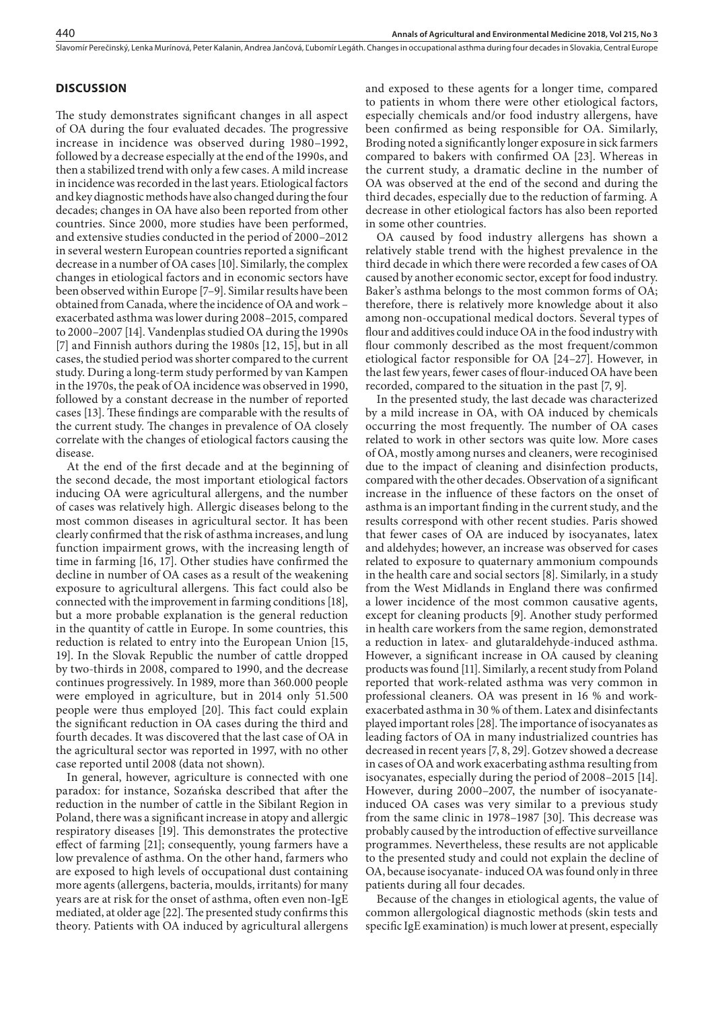#### **DISCUSSION**

The study demonstrates significant changes in all aspect of OA during the four evaluated decades. The progressive increase in incidence was observed during 1980–1992, followed by a decrease especially at the end of the 1990s, and then a stabilized trend with only a few cases. A mild increase in incidence was recorded in the last years. Etiological factors and key diagnostic methods have also changed during the four decades; changes in OA have also been reported from other countries. Since 2000, more studies have been performed, and extensive studies conducted in the period of 2000–2012 in several western European countries reported a significant decrease in a number of OA cases [10]. Similarly, the complex changes in etiological factors and in economic sectors have been observed within Europe [7–9]. Similar results have been obtained from Canada, where the incidence of OA and work – exacerbated asthma was lower during 2008–2015, compared to 2000–2007 [14]. Vandenplas studied OA during the 1990s [7] and Finnish authors during the 1980s [12, 15], but in all cases, the studied period was shorter compared to the current study. During a long-term study performed by van Kampen in the 1970s, the peak of OA incidence was observed in 1990, followed by a constant decrease in the number of reported cases [13]. These findings are comparable with the results of the current study. The changes in prevalence of OA closely correlate with the changes of etiological factors causing the disease.

At the end of the first decade and at the beginning of the second decade, the most important etiological factors inducing OA were agricultural allergens, and the number of cases was relatively high. Allergic diseases belong to the most common diseases in agricultural sector. It has been clearly confirmed that the risk of asthma increases, and lung function impairment grows, with the increasing length of time in farming [16, 17]. Other studies have confirmed the decline in number of OA cases as a result of the weakening exposure to agricultural allergens. This fact could also be connected with the improvement in farming conditions [18], but a more probable explanation is the general reduction in the quantity of cattle in Europe. In some countries, this reduction is related to entry into the European Union [15, 19]. In the Slovak Republic the number of cattle dropped by two-thirds in 2008, compared to 1990, and the decrease continues progressively. In 1989, more than 360.000 people were employed in agriculture, but in 2014 only 51.500 people were thus employed [20]. This fact could explain the significant reduction in OA cases during the third and fourth decades. It was discovered that the last case of OA in the agricultural sector was reported in 1997, with no other case reported until 2008 (data not shown).

In general, however, agriculture is connected with one paradox: for instance, Sozańska described that after the reduction in the number of cattle in the Sibilant Region in Poland, there was a significant increase in atopy and allergic respiratory diseases [19]. This demonstrates the protective effect of farming [21]; consequently, young farmers have a low prevalence of asthma. On the other hand, farmers who are exposed to high levels of occupational dust containing more agents (allergens, bacteria, moulds, irritants) for many years are at risk for the onset of asthma, often even non-IgE mediated, at older age [22]. The presented study confirms this theory. Patients with OA induced by agricultural allergens

and exposed to these agents for a longer time, compared to patients in whom there were other etiological factors, especially chemicals and/or food industry allergens, have been confirmed as being responsible for OA. Similarly, Broding noted a significantly longer exposure in sick farmers compared to bakers with confirmed OA [23]. Whereas in the current study, a dramatic decline in the number of OA was observed at the end of the second and during the third decades, especially due to the reduction of farming. A decrease in other etiological factors has also been reported in some other countries.

OA caused by food industry allergens has shown a relatively stable trend with the highest prevalence in the third decade in which there were recorded a few cases of OA caused by another economic sector, except for food industry. Baker's asthma belongs to the most common forms of OA; therefore, there is relatively more knowledge about it also among non-occupational medical doctors. Several types of flour and additives could induce OA in the food industry with flour commonly described as the most frequent/common etiological factor responsible for OA [24–27]. However, in the last few years, fewer cases of flour-induced OA have been recorded, compared to the situation in the past [7, 9].

In the presented study, the last decade was characterized by a mild increase in OA, with OA induced by chemicals occurring the most frequently. The number of OA cases related to work in other sectors was quite low. More cases of OA, mostly among nurses and cleaners, were recoginised due to the impact of cleaning and disinfection products, compared with the other decades. Observation of a significant increase in the influence of these factors on the onset of asthma is an important finding in the current study, and the results correspond with other recent studies. Paris showed that fewer cases of OA are induced by isocyanates, latex and aldehydes; however, an increase was observed for cases related to exposure to quaternary ammonium compounds in the health care and social sectors [8]. Similarly, in a study from the West Midlands in England there was confirmed a lower incidence of the most common causative agents, except for cleaning products [9]. Another study performed in health care workers from the same region, demonstrated a reduction in latex- and glutaraldehyde-induced asthma. However, a significant increase in OA caused by cleaning products was found [11]. Similarly, a recent study from Poland reported that work-related asthma was very common in professional cleaners. OA was present in 16 % and workexacerbated asthma in 30 % of them. Latex and disinfectants played important roles [28]. The importance of isocyanates as leading factors of OA in many industrialized countries has decreased in recent years [7, 8, 29]. Gotzev showed a decrease in cases of OA and work exacerbating asthma resulting from isocyanates, especially during the period of 2008–2015 [14]. However, during 2000–2007, the number of isocyanateinduced OA cases was very similar to a previous study from the same clinic in 1978–1987 [30]. This decrease was probably caused by the introduction of effective surveillance programmes. Nevertheless, these results are not applicable to the presented study and could not explain the decline of OA, because isocyanate- induced OA was found only in three patients during all four decades.

Because of the changes in etiological agents, the value of common allergological diagnostic methods (skin tests and specific IgE examination) is much lower at present, especially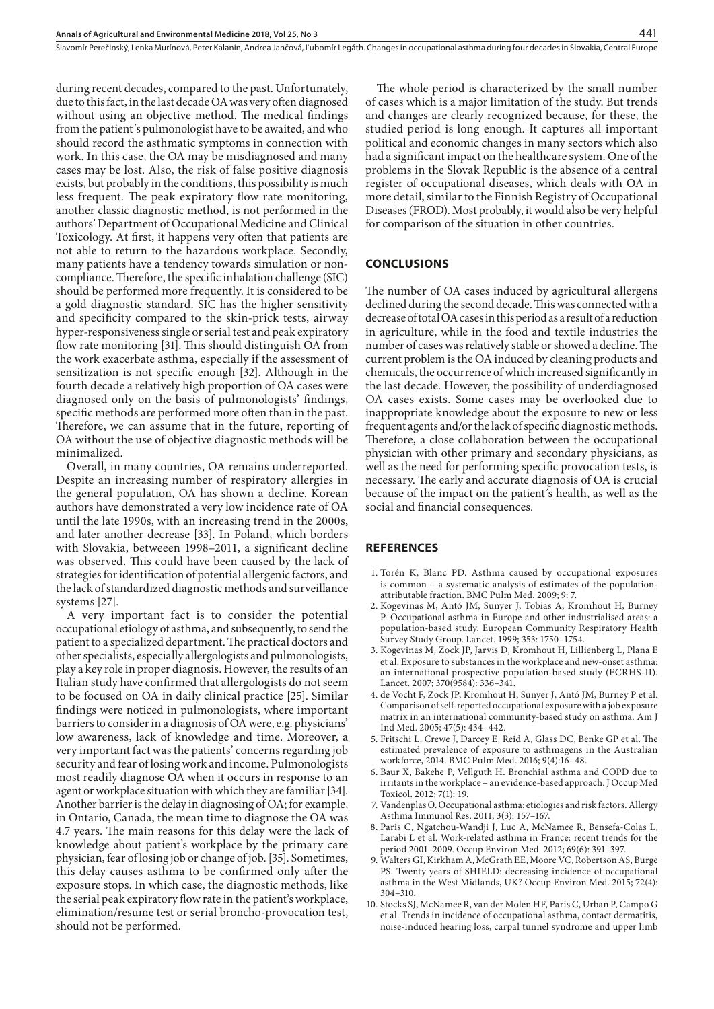during recent decades, compared to the past. Unfortunately, due to this fact, in the last decade OA was very often diagnosed without using an objective method. The medical findings from the patient´s pulmonologist have to be awaited, and who should record the asthmatic symptoms in connection with work. In this case, the OA may be misdiagnosed and many cases may be lost. Also, the risk of false positive diagnosis exists, but probably in the conditions, this possibility is much less frequent. The peak expiratory flow rate monitoring, another classic diagnostic method, is not performed in the authors' Department of Occupational Medicine and Clinical Toxicology. At first, it happens very often that patients are not able to return to the hazardous workplace. Secondly, many patients have a tendency towards simulation or noncompliance. Therefore, the specific inhalation challenge (SIC) should be performed more frequently. It is considered to be a gold diagnostic standard. SIC has the higher sensitivity and specificity compared to the skin-prick tests, airway hyper-responsiveness single or serial test and peak expiratory flow rate monitoring [31]. This should distinguish OA from the work exacerbate asthma, especially if the assessment of sensitization is not specific enough [32]. Although in the fourth decade a relatively high proportion of OA cases were diagnosed only on the basis of pulmonologists' findings, specific methods are performed more often than in the past. Therefore, we can assume that in the future, reporting of OA without the use of objective diagnostic methods will be minimalized.

Overall, in many countries, OA remains underreported. Despite an increasing number of respiratory allergies in the general population, OA has shown a decline. Korean authors have demonstrated a very low incidence rate of OA until the late 1990s, with an increasing trend in the 2000s, and later another decrease [33]. In Poland, which borders with Slovakia, betweeen 1998–2011, a significant decline was observed. This could have been caused by the lack of strategies for identification of potential allergenic factors, and the lack of standardized diagnostic methods and surveillance systems [27].

A very important fact is to consider the potential occupational etiology of asthma, and subsequently, to send the patient to a specialized department. The practical doctors and other specialists, especially allergologists and pulmonologists, play a key role in proper diagnosis. However, the results of an Italian study have confirmed that allergologists do not seem to be focused on OA in daily clinical practice [25]. Similar findings were noticed in pulmonologists, where important barriers to consider in a diagnosis of OA were, e.g. physicians' low awareness, lack of knowledge and time. Moreover, a very important fact was the patients' concerns regarding job security and fear of losing work and income. Pulmonologists most readily diagnose OA when it occurs in response to an agent or workplace situation with which they are familiar [34]. Another barrier is the delay in diagnosing of OA; for example, in Ontario, Canada, the mean time to diagnose the OA was 4.7 years. The main reasons for this delay were the lack of knowledge about patient's workplace by the primary care physician, fear of losing job or change of job. [35]. Sometimes, this delay causes asthma to be confirmed only after the exposure stops. In which case, the diagnostic methods, like the serial peak expiratory flow rate in the patient's workplace, elimination/resume test or serial broncho-provocation test, should not be performed.

The whole period is characterized by the small number of cases which is a major limitation of the study. But trends and changes are clearly recognized because, for these, the studied period is long enough. It captures all important political and economic changes in many sectors which also had a significant impact on the healthcare system. One of the problems in the Slovak Republic is the absence of a central register of occupational diseases, which deals with OA in more detail, similar to the Finnish Registry of Occupational Diseases (FROD). Most probably, it would also be very helpful for comparison of the situation in other countries.

#### **CONCLUSIONS**

The number of OA cases induced by agricultural allergens declined during the second decade. This was connected with a decrease of total OA cases in this period as a result of a reduction in agriculture, while in the food and textile industries the number of cases was relatively stable or showed a decline. The current problem is the OA induced by cleaning products and chemicals, the occurrence of which increased significantly in the last decade. However, the possibility of underdiagnosed OA cases exists. Some cases may be overlooked due to inappropriate knowledge about the exposure to new or less frequent agents and/or the lack of specific diagnostic methods. Therefore, a close collaboration between the occupational physician with other primary and secondary physicians, as well as the need for performing specific provocation tests, is necessary. The early and accurate diagnosis of OA is crucial because of the impact on the patient´s health, as well as the social and financial consequences.

#### **REFERENCES**

- 1. [Torén K](https://www.ncbi.nlm.nih.gov/pubmed/?term=Tor%C3%A9n K%5BAuthor%5D&cauthor=true&cauthor_uid=19178702), [Blanc PD](https://www.ncbi.nlm.nih.gov/pubmed/?term=Blanc PD%5BAuthor%5D&cauthor=true&cauthor_uid=19178702). Asthma caused by occupational exposures is common – a systematic analysis of estimates of the populationattributable fraction. [BMC Pulm Med.](https://www.ncbi.nlm.nih.gov/pubmed/?term=Asthma+caused+by+occupational+exposures+is+common+%E2%80%93+a+systematic+analysis+of+estimates+of+the+population-attributable+fraction.) 2009; 9: 7.
- 2. [Kogevinas M,](https://www.ncbi.nlm.nih.gov/pubmed/?term=Kogevinas M%5BAuthor%5D&cauthor=true&cauthor_uid=10347988) [Antó JM](https://www.ncbi.nlm.nih.gov/pubmed/?term=Ant%C3%B3 JM%5BAuthor%5D&cauthor=true&cauthor_uid=10347988), [Sunyer J,](https://www.ncbi.nlm.nih.gov/pubmed/?term=Sunyer J%5BAuthor%5D&cauthor=true&cauthor_uid=10347988) [Tobias A,](https://www.ncbi.nlm.nih.gov/pubmed/?term=Tobias A%5BAuthor%5D&cauthor=true&cauthor_uid=10347988) [Kromhout H,](https://www.ncbi.nlm.nih.gov/pubmed/?term=Kromhout H%5BAuthor%5D&cauthor=true&cauthor_uid=10347988) [Burney](https://www.ncbi.nlm.nih.gov/pubmed/?term=Burney P%5BAuthor%5D&cauthor=true&cauthor_uid=10347988)  [P.](https://www.ncbi.nlm.nih.gov/pubmed/?term=Burney P%5BAuthor%5D&cauthor=true&cauthor_uid=10347988) Occupational asthma in Europe and other industrialised areas: a population-based study. European Community Respiratory Health Survey Study Group. [Lancet.](https://www.ncbi.nlm.nih.gov/pubmed/10347988) 1999; 353: 1750–1754.
- 3. Kogevinas M, Zock JP, Jarvis D, Kromhout H, Lillienberg L, Plana E et al. [Exposure to substances in the workplace and new-onset asthma:](https://www.ncbi.nlm.nih.gov/pubmed/17662882)  [an international prospective population-based study \(ECRHS-II\).](https://www.ncbi.nlm.nih.gov/pubmed/17662882) Lancet. 2007; 370(9584): 336–341.
- 4. de Vocht F, Zock JP, Kromhout H, Sunyer J, Antó JM, Burney P et al. [Comparison of self-reported occupational exposure with a job exposure](https://www.ncbi.nlm.nih.gov/pubmed/15828067)  [matrix in an international community-based study on asthma.](https://www.ncbi.nlm.nih.gov/pubmed/15828067) Am J Ind Med. 2005; 47(5): 434–442.
- 5. [Fritschi L,](https://www.ncbi.nlm.nih.gov/pubmed/?term=Fritschi L%5BAuthor%5D&cauthor=true&cauthor_uid=27061283) [Crewe J](https://www.ncbi.nlm.nih.gov/pubmed/?term=Crewe J%5BAuthor%5D&cauthor=true&cauthor_uid=27061283), [Darcey E](https://www.ncbi.nlm.nih.gov/pubmed/?term=Darcey E%5BAuthor%5D&cauthor=true&cauthor_uid=27061283), [Reid A,](https://www.ncbi.nlm.nih.gov/pubmed/?term=Reid A%5BAuthor%5D&cauthor=true&cauthor_uid=27061283) [Glass DC](https://www.ncbi.nlm.nih.gov/pubmed/?term=Glass DC%5BAuthor%5D&cauthor=true&cauthor_uid=27061283), [Benke GP](https://www.ncbi.nlm.nih.gov/pubmed/?term=Benke GP%5BAuthor%5D&cauthor=true&cauthor_uid=27061283) et al. The estimated prevalence of exposure to asthmagens in the Australian workforce, 2014. [BMC Pulm Med.](https://www.ncbi.nlm.nih.gov/pubmed/?term=Lin+Fritschi1*%2C+Julie+Crewe1%2C+Ellie+Darcey1) 2016; 9(4):16–48.
- 6. Baur X, Bakehe P, Vellguth H. [Bronchial asthma and COPD due to](http://www.ncbi.nlm.nih.gov/pubmed/23013890)  [irritants in the workplace – an evidence-based approach.](http://www.ncbi.nlm.nih.gov/pubmed/23013890) J Occup Med Toxicol. 2012; 7(1): 19.
- 7. Vandenplas O. [Occupational asthma: etiologies and risk factors.](http://www.ncbi.nlm.nih.gov/pubmed/21738881) Allergy Asthma Immunol Res. 2011; 3(3): 157–167.
- 8. [Paris C,](https://www.ncbi.nlm.nih.gov/pubmed/?term=Paris C%5BAuthor%5D&cauthor=true&cauthor_uid=22383588) [Ngatchou-Wandji J](https://www.ncbi.nlm.nih.gov/pubmed/?term=Ngatchou-Wandji J%5BAuthor%5D&cauthor=true&cauthor_uid=22383588), [Luc A](https://www.ncbi.nlm.nih.gov/pubmed/?term=Luc A%5BAuthor%5D&cauthor=true&cauthor_uid=22383588), [McNamee R,](https://www.ncbi.nlm.nih.gov/pubmed/?term=McNamee R%5BAuthor%5D&cauthor=true&cauthor_uid=22383588) [Bensefa-Colas L,](https://www.ncbi.nlm.nih.gov/pubmed/?term=Bensefa-Colas L%5BAuthor%5D&cauthor=true&cauthor_uid=22383588) [Larabi L](https://www.ncbi.nlm.nih.gov/pubmed/?term=Larabi L%5BAuthor%5D&cauthor=true&cauthor_uid=22383588) et al. Work-related asthma in France: recent trends for the period 2001–2009. [Occup Environ Med.](https://www.ncbi.nlm.nih.gov/pubmed/?term=Work-related+asthma+in+France%3A+recent+trends+for+the+period+2001%E2%80%932009) 2012; 69(6): 391–397.
- 9. [Walters GI,](https://www.ncbi.nlm.nih.gov/pubmed/?term=Walters GI%5BAuthor%5D&cauthor=true&cauthor_uid=25608805) [Kirkham A](https://www.ncbi.nlm.nih.gov/pubmed/?term=Kirkham A%5BAuthor%5D&cauthor=true&cauthor_uid=25608805), [McGrath EE](https://www.ncbi.nlm.nih.gov/pubmed/?term=McGrath EE%5BAuthor%5D&cauthor=true&cauthor_uid=25608805), [Moore VC](https://www.ncbi.nlm.nih.gov/pubmed/?term=Moore VC%5BAuthor%5D&cauthor=true&cauthor_uid=25608805), [Robertson AS](https://www.ncbi.nlm.nih.gov/pubmed/?term=Robertson AS%5BAuthor%5D&cauthor=true&cauthor_uid=25608805), [Burge](https://www.ncbi.nlm.nih.gov/pubmed/?term=Burge PS%5BAuthor%5D&cauthor=true&cauthor_uid=25608805)  [PS](https://www.ncbi.nlm.nih.gov/pubmed/?term=Burge PS%5BAuthor%5D&cauthor=true&cauthor_uid=25608805). Twenty years of SHIELD: decreasing incidence of occupational asthma in the West Midlands, UK? [Occup Environ Med.](https://www.ncbi.nlm.nih.gov/pubmed/25608805) 2015; 72(4): 304–310.
- 10. [Stocks SJ,](https://www.ncbi.nlm.nih.gov/pubmed/?term=Stocks SJ%5BAuthor%5D&cauthor=true&cauthor_uid=25575531) [McNamee R,](https://www.ncbi.nlm.nih.gov/pubmed/?term=McNamee R%5BAuthor%5D&cauthor=true&cauthor_uid=25575531) [van der Molen HF](https://www.ncbi.nlm.nih.gov/pubmed/?term=van der Molen HF%5BAuthor%5D&cauthor=true&cauthor_uid=25575531), [Paris C](https://www.ncbi.nlm.nih.gov/pubmed/?term=Paris C%5BAuthor%5D&cauthor=true&cauthor_uid=25575531), [Urban P](https://www.ncbi.nlm.nih.gov/pubmed/?term=Urban P%5BAuthor%5D&cauthor=true&cauthor_uid=25575531), [Campo G](https://www.ncbi.nlm.nih.gov/pubmed/?term=Campo G%5BAuthor%5D&cauthor=true&cauthor_uid=25575531) et al. Trends in incidence of occupational asthma, contact dermatitis, noise-induced hearing loss, carpal tunnel syndrome and upper limb